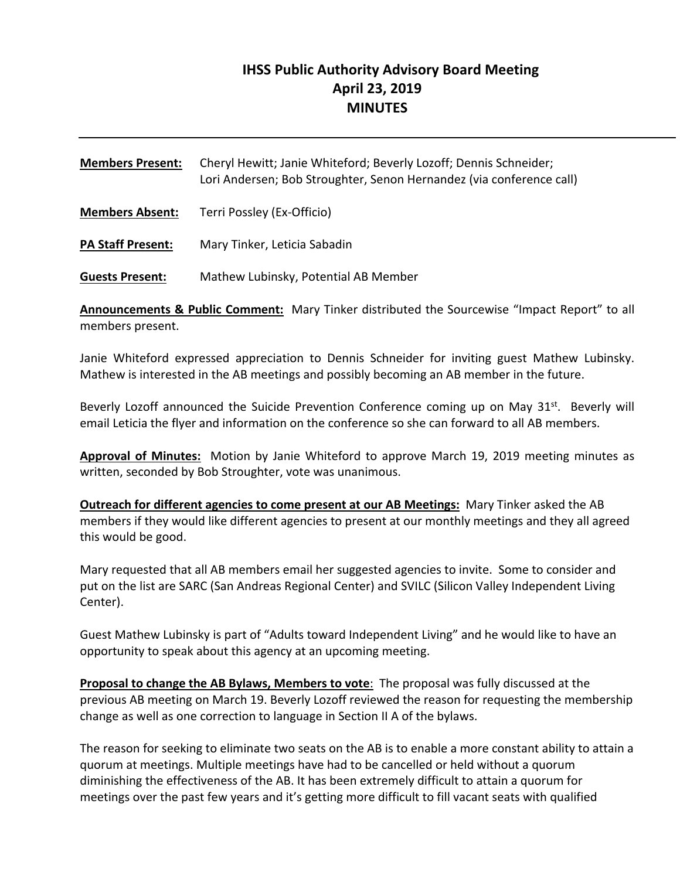# **IHSS Public Authority Advisory Board Meeting April 23, 2019 MINUTES**

| <b>Members Present:</b>  | Cheryl Hewitt; Janie Whiteford; Beverly Lozoff; Dennis Schneider;<br>Lori Andersen; Bob Stroughter, Senon Hernandez (via conference call) |  |
|--------------------------|-------------------------------------------------------------------------------------------------------------------------------------------|--|
| <b>Members Absent:</b>   | Terri Possley (Ex-Officio)                                                                                                                |  |
| <b>PA Staff Present:</b> | Mary Tinker, Leticia Sabadin                                                                                                              |  |
| <b>Guests Present:</b>   | Mathew Lubinsky, Potential AB Member                                                                                                      |  |

**Announcements & Public Comment:** Mary Tinker distributed the Sourcewise "Impact Report" to all members present.

Janie Whiteford expressed appreciation to Dennis Schneider for inviting guest Mathew Lubinsky. Mathew is interested in the AB meetings and possibly becoming an AB member in the future.

Beverly Lozoff announced the Suicide Prevention Conference coming up on May  $31^{st}$ . Beverly will email Leticia the flyer and information on the conference so she can forward to all AB members.

**Approval of Minutes:** Motion by Janie Whiteford to approve March 19, 2019 meeting minutes as written, seconded by Bob Stroughter, vote was unanimous.

**Outreach for different agencies to come present at our AB Meetings:** Mary Tinker asked the AB members if they would like different agencies to present at our monthly meetings and they all agreed this would be good.

Mary requested that all AB members email her suggested agencies to invite. Some to consider and put on the list are SARC (San Andreas Regional Center) and SVILC (Silicon Valley Independent Living Center).

Guest Mathew Lubinsky is part of "Adults toward Independent Living" and he would like to have an opportunity to speak about this agency at an upcoming meeting.

**Proposal to change the AB Bylaws, Members to vote**: The proposal was fully discussed at the previous AB meeting on March 19. Beverly Lozoff reviewed the reason for requesting the membership change as well as one correction to language in Section II A of the bylaws.

The reason for seeking to eliminate two seats on the AB is to enable a more constant ability to attain a quorum at meetings. Multiple meetings have had to be cancelled or held without a quorum diminishing the effectiveness of the AB. It has been extremely difficult to attain a quorum for meetings over the past few years and it's getting more difficult to fill vacant seats with qualified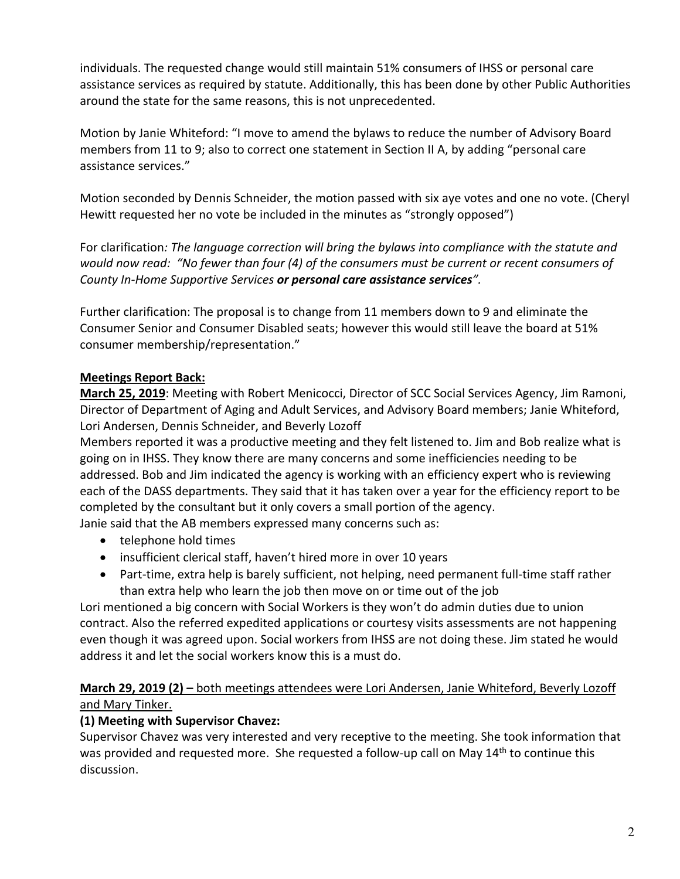individuals. The requested change would still maintain 51% consumers of IHSS or personal care assistance services as required by statute. Additionally, this has been done by other Public Authorities around the state for the same reasons, this is not unprecedented.

Motion by Janie Whiteford: "I move to amend the bylaws to reduce the number of Advisory Board members from 11 to 9; also to correct one statement in Section II A, by adding "personal care assistance services."

Motion seconded by Dennis Schneider, the motion passed with six aye votes and one no vote. (Cheryl Hewitt requested her no vote be included in the minutes as "strongly opposed")

For clarification*: The language correction will bring the bylaws into compliance with the statute and would now read: "No fewer than four (4) of the consumers must be current or recent consumers of County In‐Home Supportive Services or personal care assistance services".*

Further clarification: The proposal is to change from 11 members down to 9 and eliminate the Consumer Senior and Consumer Disabled seats; however this would still leave the board at 51% consumer membership/representation."

## **Meetings Report Back:**

**March 25, 2019**: Meeting with Robert Menicocci, Director of SCC Social Services Agency, Jim Ramoni, Director of Department of Aging and Adult Services, and Advisory Board members; Janie Whiteford, Lori Andersen, Dennis Schneider, and Beverly Lozoff

Members reported it was a productive meeting and they felt listened to. Jim and Bob realize what is going on in IHSS. They know there are many concerns and some inefficiencies needing to be addressed. Bob and Jim indicated the agency is working with an efficiency expert who is reviewing each of the DASS departments. They said that it has taken over a year for the efficiency report to be completed by the consultant but it only covers a small portion of the agency.

Janie said that the AB members expressed many concerns such as:

- telephone hold times
- insufficient clerical staff, haven't hired more in over 10 years
- Part-time, extra help is barely sufficient, not helping, need permanent full-time staff rather than extra help who learn the job then move on or time out of the job

Lori mentioned a big concern with Social Workers is they won't do admin duties due to union contract. Also the referred expedited applications or courtesy visits assessments are not happening even though it was agreed upon. Social workers from IHSS are not doing these. Jim stated he would address it and let the social workers know this is a must do.

## **March 29, 2019 (2) –** both meetings attendees were Lori Andersen, Janie Whiteford, Beverly Lozoff and Mary Tinker.

## **(1) Meeting with Supervisor Chavez:**

Supervisor Chavez was very interested and very receptive to the meeting. She took information that was provided and requested more. She requested a follow-up call on May 14<sup>th</sup> to continue this discussion.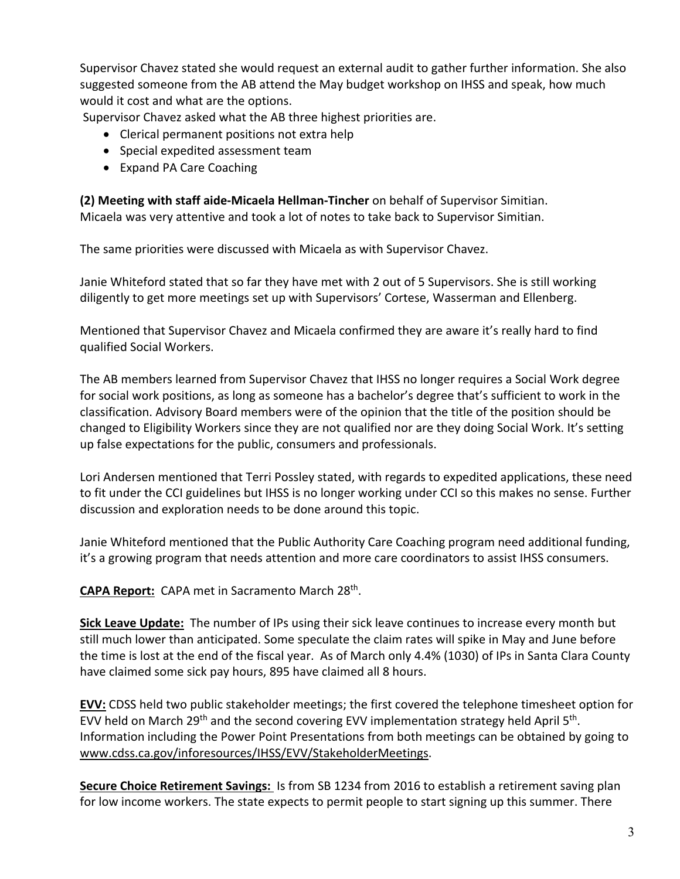Supervisor Chavez stated she would request an external audit to gather further information. She also suggested someone from the AB attend the May budget workshop on IHSS and speak, how much would it cost and what are the options.

Supervisor Chavez asked what the AB three highest priorities are.

- Clerical permanent positions not extra help
- Special expedited assessment team
- Expand PA Care Coaching

**(2) Meeting with staff aide‐Micaela Hellman‐Tincher** on behalf of Supervisor Simitian. Micaela was very attentive and took a lot of notes to take back to Supervisor Simitian.

The same priorities were discussed with Micaela as with Supervisor Chavez.

Janie Whiteford stated that so far they have met with 2 out of 5 Supervisors. She is still working diligently to get more meetings set up with Supervisors' Cortese, Wasserman and Ellenberg.

Mentioned that Supervisor Chavez and Micaela confirmed they are aware it's really hard to find qualified Social Workers.

The AB members learned from Supervisor Chavez that IHSS no longer requires a Social Work degree for social work positions, as long as someone has a bachelor's degree that's sufficient to work in the classification. Advisory Board members were of the opinion that the title of the position should be changed to Eligibility Workers since they are not qualified nor are they doing Social Work. It's setting up false expectations for the public, consumers and professionals.

Lori Andersen mentioned that Terri Possley stated, with regards to expedited applications, these need to fit under the CCI guidelines but IHSS is no longer working under CCI so this makes no sense. Further discussion and exploration needs to be done around this topic.

Janie Whiteford mentioned that the Public Authority Care Coaching program need additional funding, it's a growing program that needs attention and more care coordinators to assist IHSS consumers.

**CAPA Report:** CAPA met in Sacramento March 28th.

**Sick Leave Update:** The number of IPs using their sick leave continues to increase every month but still much lower than anticipated. Some speculate the claim rates will spike in May and June before the time is lost at the end of the fiscal year. As of March only 4.4% (1030) of IPs in Santa Clara County have claimed some sick pay hours, 895 have claimed all 8 hours.

**EVV:** CDSS held two public stakeholder meetings; the first covered the telephone timesheet option for EVV held on March 29<sup>th</sup> and the second covering EVV implementation strategy held April 5<sup>th</sup>. Information including the Power Point Presentations from both meetings can be obtained by going to www.cdss.ca.gov/inforesources/IHSS/EVV/StakeholderMeetings.

**Secure Choice Retirement Savings:**  Is from SB 1234 from 2016 to establish a retirement saving plan for low income workers. The state expects to permit people to start signing up this summer. There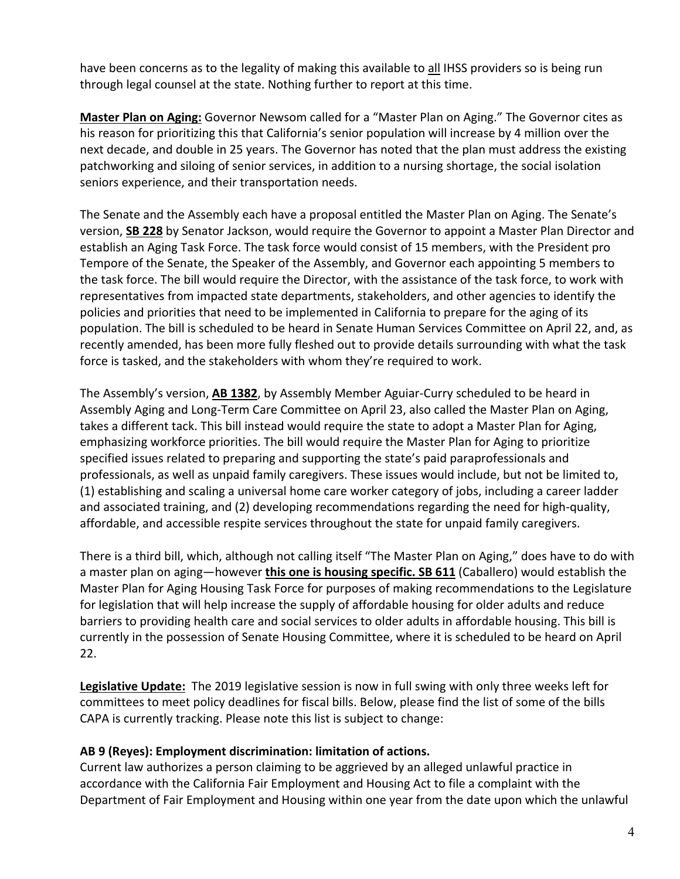have been concerns as to the legality of making this available to all IHSS providers so is being run through legal counsel at the state. Nothing further to report at this time.

**Master Plan on Aging:** Governor Newsom called for a "Master Plan on Aging." The Governor cites as his reason for prioritizing this that California's senior population will increase by 4 million over the next decade, and double in 25 years. The Governor has noted that the plan must address the existing patchworking and siloing of senior services, in addition to a nursing shortage, the social isolation seniors experience, and their transportation needs.

The Senate and the Assembly each have a proposal entitled the Master Plan on Aging. The Senate's version, **SB 228** by Senator Jackson, would require the Governor to appoint a Master Plan Director and establish an Aging Task Force. The task force would consist of 15 members, with the President pro Tempore of the Senate, the Speaker of the Assembly, and Governor each appointing 5 members to the task force. The bill would require the Director, with the assistance of the task force, to work with representatives from impacted state departments, stakeholders, and other agencies to identify the policies and priorities that need to be implemented in California to prepare for the aging of its population. The bill is scheduled to be heard in Senate Human Services Committee on April 22, and, as recently amended, has been more fully fleshed out to provide details surrounding with what the task force is tasked, and the stakeholders with whom they're required to work.

The Assembly's version, **AB 1382**, by Assembly Member Aguiar‐Curry scheduled to be heard in Assembly Aging and Long‐Term Care Committee on April 23, also called the Master Plan on Aging, takes a different tack. This bill instead would require the state to adopt a Master Plan for Aging, emphasizing workforce priorities. The bill would require the Master Plan for Aging to prioritize specified issues related to preparing and supporting the state's paid paraprofessionals and professionals, as well as unpaid family caregivers. These issues would include, but not be limited to, (1) establishing and scaling a universal home care worker category of jobs, including a career ladder and associated training, and (2) developing recommendations regarding the need for high-quality, affordable, and accessible respite services throughout the state for unpaid family caregivers.

There is a third bill, which, although not calling itself "The Master Plan on Aging," does have to do with a master plan on aging—however **this one is housing specific. SB 611** (Caballero) would establish the Master Plan for Aging Housing Task Force for purposes of making recommendations to the Legislature for legislation that will help increase the supply of affordable housing for older adults and reduce barriers to providing health care and social services to older adults in affordable housing. This bill is currently in the possession of Senate Housing Committee, where it is scheduled to be heard on April 22.

**Legislative Update:** The 2019 legislative session is now in full swing with only three weeks left for committees to meet policy deadlines for fiscal bills. Below, please find the list of some of the bills CAPA is currently tracking. Please note this list is subject to change:

### **AB 9 (Reyes): Employment discrimination: limitation of actions.**

Current law authorizes a person claiming to be aggrieved by an alleged unlawful practice in accordance with the California Fair Employment and Housing Act to file a complaint with the Department of Fair Employment and Housing within one year from the date upon which the unlawful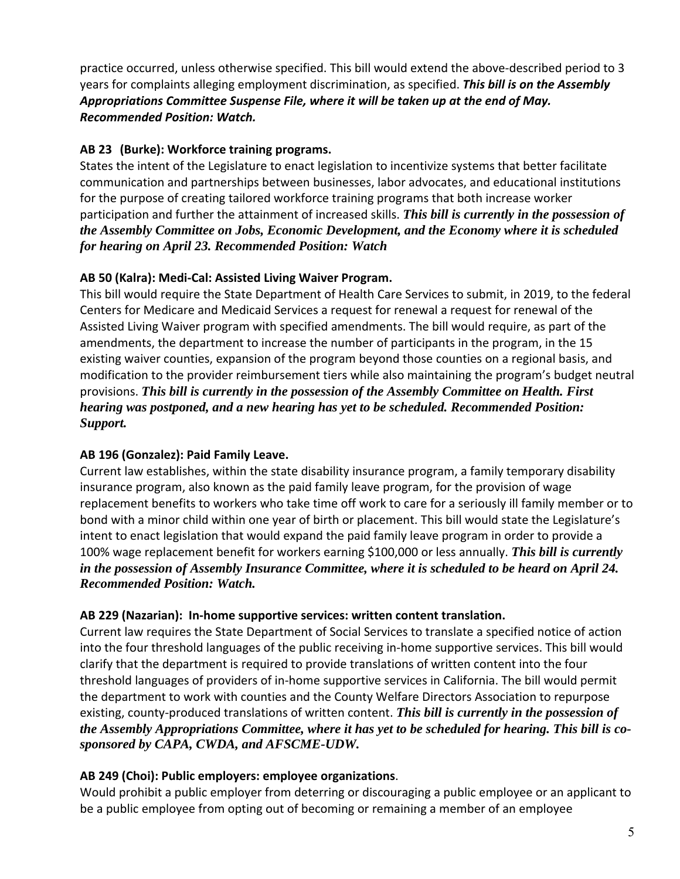practice occurred, unless otherwise specified. This bill would extend the above-described period to 3 years for complaints alleging employment discrimination, as specified. *This bill is on the Assembly Appropriations Committee Suspense File, where it will be taken up at the end of May. Recommended Position: Watch.* 

## **AB 23 (Burke): Workforce training programs.**

States the intent of the Legislature to enact legislation to incentivize systems that better facilitate communication and partnerships between businesses, labor advocates, and educational institutions for the purpose of creating tailored workforce training programs that both increase worker participation and further the attainment of increased skills. *This bill is currently in the possession of the Assembly Committee on Jobs, Economic Development, and the Economy where it is scheduled for hearing on April 23. Recommended Position: Watch*

## **AB 50 (Kalra): Medi‐Cal: Assisted Living Waiver Program.**

This bill would require the State Department of Health Care Services to submit, in 2019, to the federal Centers for Medicare and Medicaid Services a request for renewal a request for renewal of the Assisted Living Waiver program with specified amendments. The bill would require, as part of the amendments, the department to increase the number of participants in the program, in the 15 existing waiver counties, expansion of the program beyond those counties on a regional basis, and modification to the provider reimbursement tiers while also maintaining the program's budget neutral provisions. *This bill is currently in the possession of the Assembly Committee on Health. First hearing was postponed, and a new hearing has yet to be scheduled. Recommended Position: Support.* 

## **AB 196 (Gonzalez): Paid Family Leave.**

Current law establishes, within the state disability insurance program, a family temporary disability insurance program, also known as the paid family leave program, for the provision of wage replacement benefits to workers who take time off work to care for a seriously ill family member or to bond with a minor child within one year of birth or placement. This bill would state the Legislature's intent to enact legislation that would expand the paid family leave program in order to provide a 100% wage replacement benefit for workers earning \$100,000 or less annually. *This bill is currently in the possession of Assembly Insurance Committee, where it is scheduled to be heard on April 24. Recommended Position: Watch.*

## **AB 229 (Nazarian): In‐home supportive services: written content translation.**

Current law requires the State Department of Social Services to translate a specified notice of action into the four threshold languages of the public receiving in‐home supportive services. This bill would clarify that the department is required to provide translations of written content into the four threshold languages of providers of in‐home supportive services in California. The bill would permit the department to work with counties and the County Welfare Directors Association to repurpose existing, county‐produced translations of written content. *This bill is currently in the possession of the Assembly Appropriations Committee, where it has yet to be scheduled for hearing. This bill is cosponsored by CAPA, CWDA, and AFSCME-UDW.*

# **AB 249 (Choi): Public employers: employee organizations**.

Would prohibit a public employer from deterring or discouraging a public employee or an applicant to be a public employee from opting out of becoming or remaining a member of an employee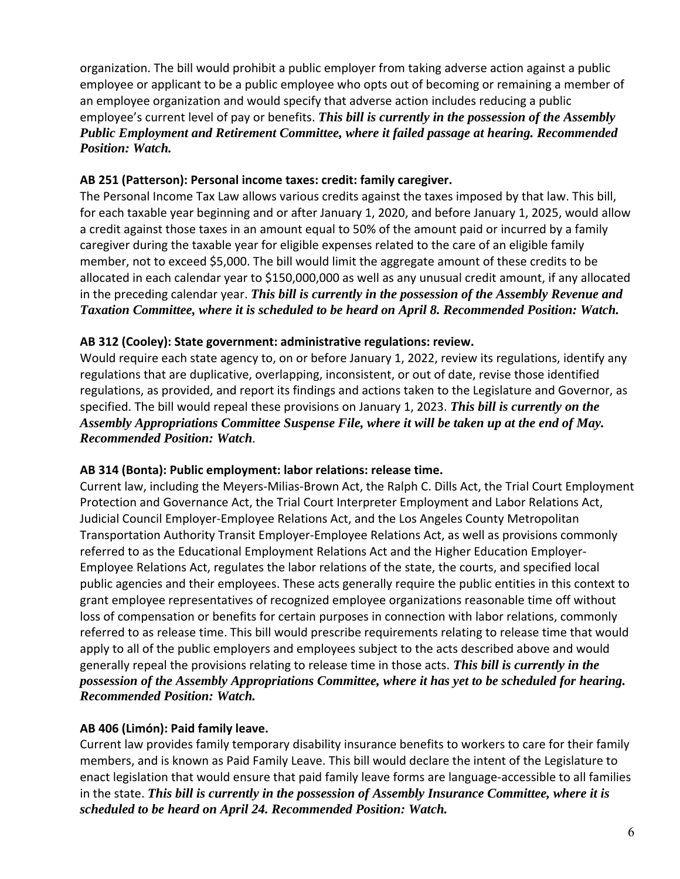organization. The bill would prohibit a public employer from taking adverse action against a public employee or applicant to be a public employee who opts out of becoming or remaining a member of an employee organization and would specify that adverse action includes reducing a public employee's current level of pay or benefits. *This bill is currently in the possession of the Assembly Public Employment and Retirement Committee, where it failed passage at hearing. Recommended Position: Watch.* 

### **AB 251 (Patterson): Personal income taxes: credit: family caregiver.**

The Personal Income Tax Law allows various credits against the taxes imposed by that law. This bill, for each taxable year beginning and or after January 1, 2020, and before January 1, 2025, would allow a credit against those taxes in an amount equal to 50% of the amount paid or incurred by a family caregiver during the taxable year for eligible expenses related to the care of an eligible family member, not to exceed \$5,000. The bill would limit the aggregate amount of these credits to be allocated in each calendar year to \$150,000,000 as well as any unusual credit amount, if any allocated in the preceding calendar year. *This bill is currently in the possession of the Assembly Revenue and Taxation Committee, where it is scheduled to be heard on April 8. Recommended Position: Watch.* 

#### **AB 312 (Cooley): State government: administrative regulations: review.**

Would require each state agency to, on or before January 1, 2022, review its regulations, identify any regulations that are duplicative, overlapping, inconsistent, or out of date, revise those identified regulations, as provided, and report its findings and actions taken to the Legislature and Governor, as specified. The bill would repeal these provisions on January 1, 2023. *This bill is currently on the Assembly Appropriations Committee Suspense File, where it will be taken up at the end of May. Recommended Position: Watch.*

### **AB 314 (Bonta): Public employment: labor relations: release time.**

Current law, including the Meyers‐Milias‐Brown Act, the Ralph C. Dills Act, the Trial Court Employment Protection and Governance Act, the Trial Court Interpreter Employment and Labor Relations Act, Judicial Council Employer‐Employee Relations Act, and the Los Angeles County Metropolitan Transportation Authority Transit Employer‐Employee Relations Act, as well as provisions commonly referred to as the Educational Employment Relations Act and the Higher Education Employer‐ Employee Relations Act, regulates the labor relations of the state, the courts, and specified local public agencies and their employees. These acts generally require the public entities in this context to grant employee representatives of recognized employee organizations reasonable time off without loss of compensation or benefits for certain purposes in connection with labor relations, commonly referred to as release time. This bill would prescribe requirements relating to release time that would apply to all of the public employers and employees subject to the acts described above and would generally repeal the provisions relating to release time in those acts. *This bill is currently in the possession of the Assembly Appropriations Committee, where it has yet to be scheduled for hearing. Recommended Position: Watch.*

### **AB 406 (Limón): Paid family leave.**

Current law provides family temporary disability insurance benefits to workers to care for their family members, and is known as Paid Family Leave. This bill would declare the intent of the Legislature to enact legislation that would ensure that paid family leave forms are language‐accessible to all families in the state. *This bill is currently in the possession of Assembly Insurance Committee, where it is scheduled to be heard on April 24. Recommended Position: Watch.*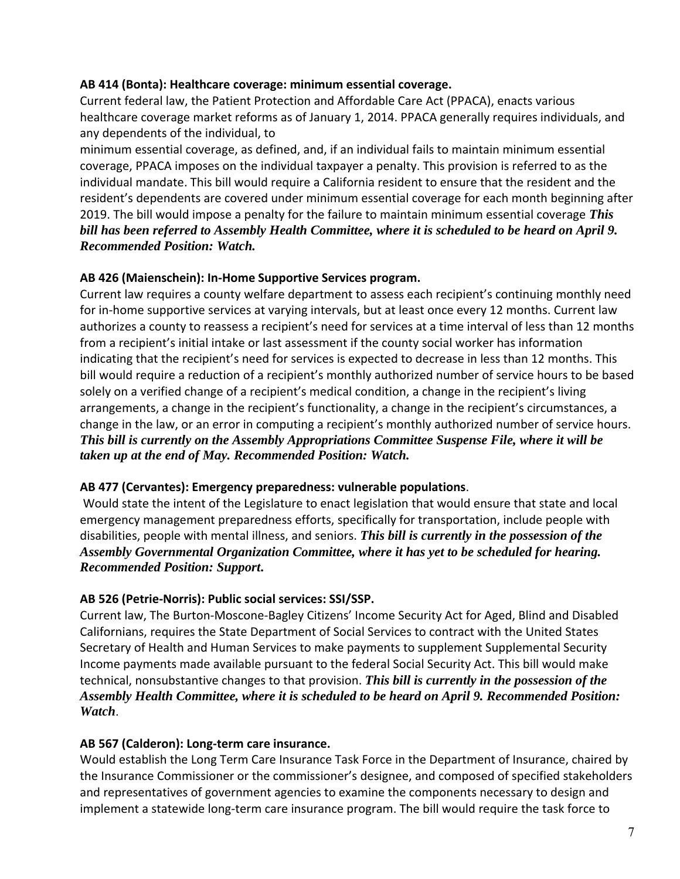### **AB 414 (Bonta): Healthcare coverage: minimum essential coverage.**

Current federal law, the Patient Protection and Affordable Care Act (PPACA), enacts various healthcare coverage market reforms as of January 1, 2014. PPACA generally requires individuals, and any dependents of the individual, to

minimum essential coverage, as defined, and, if an individual fails to maintain minimum essential coverage, PPACA imposes on the individual taxpayer a penalty. This provision is referred to as the individual mandate. This bill would require a California resident to ensure that the resident and the resident's dependents are covered under minimum essential coverage for each month beginning after 2019. The bill would impose a penalty for the failure to maintain minimum essential coverage *This bill has been referred to Assembly Health Committee, where it is scheduled to be heard on April 9. Recommended Position: Watch.*

#### **AB 426 (Maienschein): In‐Home Supportive Services program.**

Current law requires a county welfare department to assess each recipient's continuing monthly need for in-home supportive services at varying intervals, but at least once every 12 months. Current law authorizes a county to reassess a recipient's need for services at a time interval of less than 12 months from a recipient's initial intake or last assessment if the county social worker has information indicating that the recipient's need for services is expected to decrease in less than 12 months. This bill would require a reduction of a recipient's monthly authorized number of service hours to be based solely on a verified change of a recipient's medical condition, a change in the recipient's living arrangements, a change in the recipient's functionality, a change in the recipient's circumstances, a change in the law, or an error in computing a recipient's monthly authorized number of service hours. *This bill is currently on the Assembly Appropriations Committee Suspense File, where it will be taken up at the end of May. Recommended Position: Watch.* 

#### **AB 477 (Cervantes): Emergency preparedness: vulnerable populations**.

 Would state the intent of the Legislature to enact legislation that would ensure that state and local emergency management preparedness efforts, specifically for transportation, include people with disabilities, people with mental illness, and seniors. *This bill is currently in the possession of the Assembly Governmental Organization Committee, where it has yet to be scheduled for hearing. Recommended Position: Support***.**

#### **AB 526 (Petrie‐Norris): Public social services: SSI/SSP.**

Current law, The Burton‐Moscone‐Bagley Citizens' Income Security Act for Aged, Blind and Disabled Californians, requires the State Department of Social Services to contract with the United States Secretary of Health and Human Services to make payments to supplement Supplemental Security Income payments made available pursuant to the federal Social Security Act. This bill would make technical, nonsubstantive changes to that provision. *This bill is currently in the possession of the Assembly Health Committee, where it is scheduled to be heard on April 9. Recommended Position: Watch*.

### **AB 567 (Calderon): Long‐term care insurance.**

Would establish the Long Term Care Insurance Task Force in the Department of Insurance, chaired by the Insurance Commissioner or the commissioner's designee, and composed of specified stakeholders and representatives of government agencies to examine the components necessary to design and implement a statewide long‐term care insurance program. The bill would require the task force to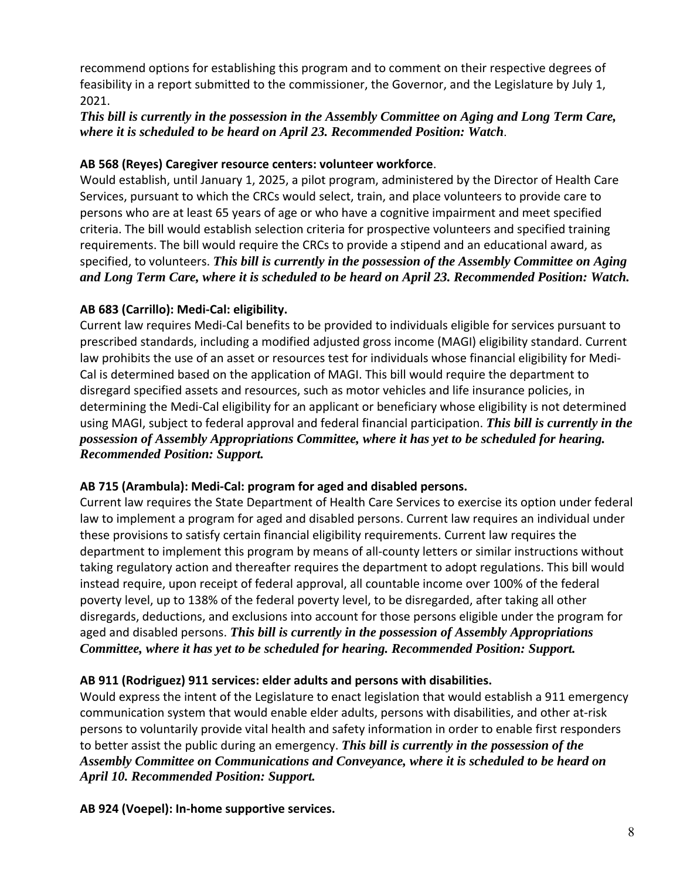recommend options for establishing this program and to comment on their respective degrees of feasibility in a report submitted to the commissioner, the Governor, and the Legislature by July 1, 2021.

## *This bill is currently in the possession in the Assembly Committee on Aging and Long Term Care, where it is scheduled to be heard on April 23. Recommended Position: Watch*.

### **AB 568 (Reyes) Caregiver resource centers: volunteer workforce**.

Would establish, until January 1, 2025, a pilot program, administered by the Director of Health Care Services, pursuant to which the CRCs would select, train, and place volunteers to provide care to persons who are at least 65 years of age or who have a cognitive impairment and meet specified criteria. The bill would establish selection criteria for prospective volunteers and specified training requirements. The bill would require the CRCs to provide a stipend and an educational award, as specified, to volunteers. *This bill is currently in the possession of the Assembly Committee on Aging and Long Term Care, where it is scheduled to be heard on April 23. Recommended Position: Watch.*

## **AB 683 (Carrillo): Medi‐Cal: eligibility.**

Current law requires Medi‐Cal benefits to be provided to individuals eligible for services pursuant to prescribed standards, including a modified adjusted gross income (MAGI) eligibility standard. Current law prohibits the use of an asset or resources test for individuals whose financial eligibility for Medi‐ Cal is determined based on the application of MAGI. This bill would require the department to disregard specified assets and resources, such as motor vehicles and life insurance policies, in determining the Medi‐Cal eligibility for an applicant or beneficiary whose eligibility is not determined using MAGI, subject to federal approval and federal financial participation. *This bill is currently in the possession of Assembly Appropriations Committee, where it has yet to be scheduled for hearing. Recommended Position: Support.*

### **AB 715 (Arambula): Medi‐Cal: program for aged and disabled persons.**

Current law requires the State Department of Health Care Services to exercise its option under federal law to implement a program for aged and disabled persons. Current law requires an individual under these provisions to satisfy certain financial eligibility requirements. Current law requires the department to implement this program by means of all‐county letters or similar instructions without taking regulatory action and thereafter requires the department to adopt regulations. This bill would instead require, upon receipt of federal approval, all countable income over 100% of the federal poverty level, up to 138% of the federal poverty level, to be disregarded, after taking all other disregards, deductions, and exclusions into account for those persons eligible under the program for aged and disabled persons. *This bill is currently in the possession of Assembly Appropriations Committee, where it has yet to be scheduled for hearing. Recommended Position: Support.* 

## **AB 911 (Rodriguez) 911 services: elder adults and persons with disabilities.**

Would express the intent of the Legislature to enact legislation that would establish a 911 emergency communication system that would enable elder adults, persons with disabilities, and other at‐risk persons to voluntarily provide vital health and safety information in order to enable first responders to better assist the public during an emergency. *This bill is currently in the possession of the Assembly Committee on Communications and Conveyance, where it is scheduled to be heard on April 10. Recommended Position: Support.*

**AB 924 (Voepel): In‐home supportive services.**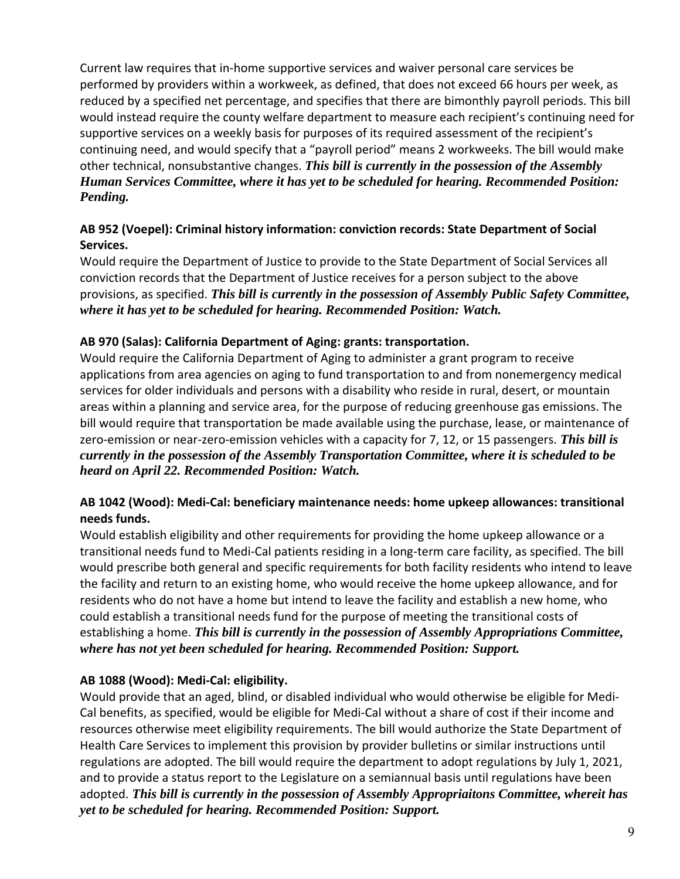Current law requires that in‐home supportive services and waiver personal care services be performed by providers within a workweek, as defined, that does not exceed 66 hours per week, as reduced by a specified net percentage, and specifies that there are bimonthly payroll periods. This bill would instead require the county welfare department to measure each recipient's continuing need for supportive services on a weekly basis for purposes of its required assessment of the recipient's continuing need, and would specify that a "payroll period" means 2 workweeks. The bill would make other technical, nonsubstantive changes. *This bill is currently in the possession of the Assembly Human Services Committee, where it has yet to be scheduled for hearing. Recommended Position: Pending.* 

## **AB 952 (Voepel): Criminal history information: conviction records: State Department of Social Services.**

Would require the Department of Justice to provide to the State Department of Social Services all conviction records that the Department of Justice receives for a person subject to the above provisions, as specified. *This bill is currently in the possession of Assembly Public Safety Committee, where it has yet to be scheduled for hearing. Recommended Position: Watch.* 

## **AB 970 (Salas): California Department of Aging: grants: transportation.**

Would require the California Department of Aging to administer a grant program to receive applications from area agencies on aging to fund transportation to and from nonemergency medical services for older individuals and persons with a disability who reside in rural, desert, or mountain areas within a planning and service area, for the purpose of reducing greenhouse gas emissions. The bill would require that transportation be made available using the purchase, lease, or maintenance of zero‐emission or near‐zero‐emission vehicles with a capacity for 7, 12, or 15 passengers. *This bill is currently in the possession of the Assembly Transportation Committee, where it is scheduled to be heard on April 22. Recommended Position: Watch.*

## **AB 1042 (Wood): Medi‐Cal: beneficiary maintenance needs: home upkeep allowances: transitional needs funds.**

Would establish eligibility and other requirements for providing the home upkeep allowance or a transitional needs fund to Medi‐Cal patients residing in a long‐term care facility, as specified. The bill would prescribe both general and specific requirements for both facility residents who intend to leave the facility and return to an existing home, who would receive the home upkeep allowance, and for residents who do not have a home but intend to leave the facility and establish a new home, who could establish a transitional needs fund for the purpose of meeting the transitional costs of establishing a home. *This bill is currently in the possession of Assembly Appropriations Committee, where has not yet been scheduled for hearing. Recommended Position: Support.*

## **AB 1088 (Wood): Medi‐Cal: eligibility.**

Would provide that an aged, blind, or disabled individual who would otherwise be eligible for Medi‐ Cal benefits, as specified, would be eligible for Medi‐Cal without a share of cost if their income and resources otherwise meet eligibility requirements. The bill would authorize the State Department of Health Care Services to implement this provision by provider bulletins or similar instructions until regulations are adopted. The bill would require the department to adopt regulations by July 1, 2021, and to provide a status report to the Legislature on a semiannual basis until regulations have been adopted. *This bill is currently in the possession of Assembly Appropriaitons Committee, whereit has yet to be scheduled for hearing. Recommended Position: Support.*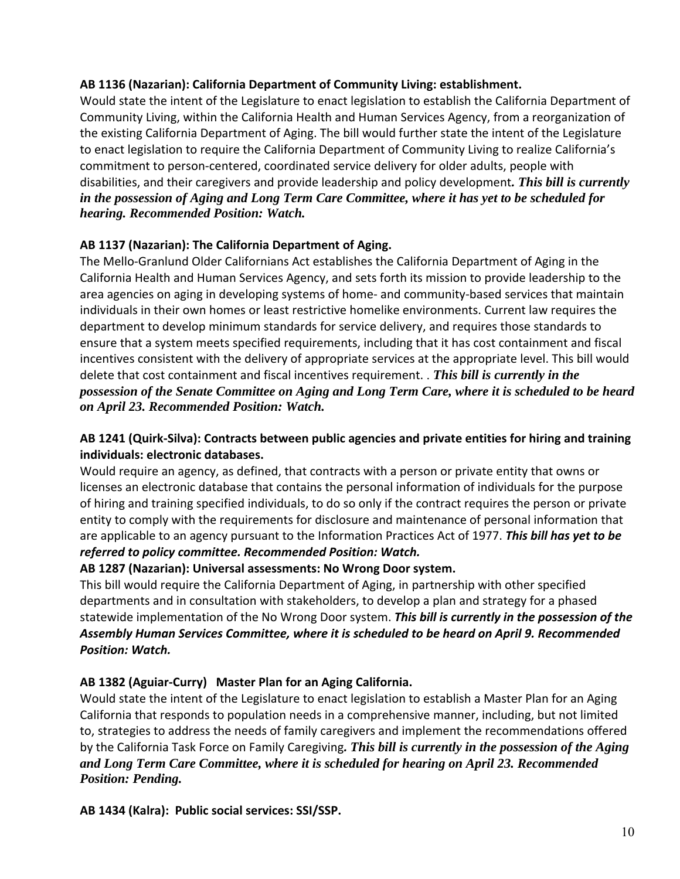### **AB 1136 (Nazarian): California Department of Community Living: establishment.**

Would state the intent of the Legislature to enact legislation to establish the California Department of Community Living, within the California Health and Human Services Agency, from a reorganization of the existing California Department of Aging. The bill would further state the intent of the Legislature to enact legislation to require the California Department of Community Living to realize California's commitment to person‐centered, coordinated service delivery for older adults, people with disabilities, and their caregivers and provide leadership and policy development*. This bill is currently in the possession of Aging and Long Term Care Committee, where it has yet to be scheduled for hearing. Recommended Position: Watch.* 

## **AB 1137 (Nazarian): The California Department of Aging.**

The Mello‐Granlund Older Californians Act establishes the California Department of Aging in the California Health and Human Services Agency, and sets forth its mission to provide leadership to the area agencies on aging in developing systems of home- and community-based services that maintain individuals in their own homes or least restrictive homelike environments. Current law requires the department to develop minimum standards for service delivery, and requires those standards to ensure that a system meets specified requirements, including that it has cost containment and fiscal incentives consistent with the delivery of appropriate services at the appropriate level. This bill would delete that cost containment and fiscal incentives requirement. . *This bill is currently in the possession of the Senate Committee on Aging and Long Term Care, where it is scheduled to be heard on April 23. Recommended Position: Watch.*

## **AB 1241 (Quirk‐Silva): Contracts between public agencies and private entities for hiring and training individuals: electronic databases.**

Would require an agency, as defined, that contracts with a person or private entity that owns or licenses an electronic database that contains the personal information of individuals for the purpose of hiring and training specified individuals, to do so only if the contract requires the person or private entity to comply with the requirements for disclosure and maintenance of personal information that are applicable to an agency pursuant to the Information Practices Act of 1977. *This bill has yet to be referred to policy committee. Recommended Position: Watch.*

# **AB 1287 (Nazarian): Universal assessments: No Wrong Door system.**

This bill would require the California Department of Aging, in partnership with other specified departments and in consultation with stakeholders, to develop a plan and strategy for a phased statewide implementation of the No Wrong Door system. *This bill is currently in the possession of the Assembly Human Services Committee, where it is scheduled to be heard on April 9. Recommended Position: Watch.* 

### **AB 1382 (Aguiar‐Curry) Master Plan for an Aging California.**

Would state the intent of the Legislature to enact legislation to establish a Master Plan for an Aging California that responds to population needs in a comprehensive manner, including, but not limited to, strategies to address the needs of family caregivers and implement the recommendations offered by the California Task Force on Family Caregiving*. This bill is currently in the possession of the Aging and Long Term Care Committee, where it is scheduled for hearing on April 23. Recommended Position: Pending.* 

**AB 1434 (Kalra): Public social services: SSI/SSP.**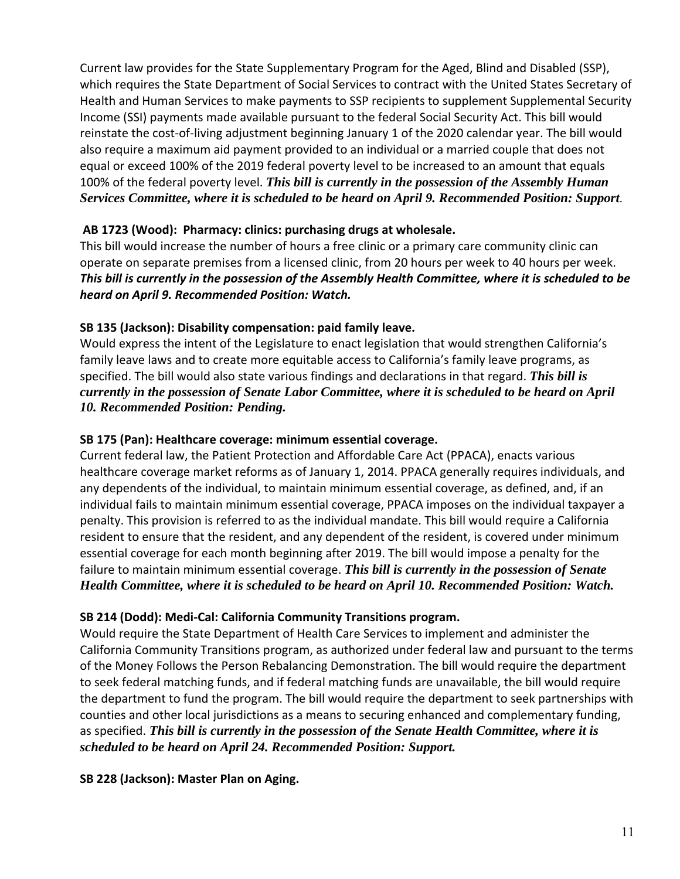Current law provides for the State Supplementary Program for the Aged, Blind and Disabled (SSP), which requires the State Department of Social Services to contract with the United States Secretary of Health and Human Services to make payments to SSP recipients to supplement Supplemental Security Income (SSI) payments made available pursuant to the federal Social Security Act. This bill would reinstate the cost‐of‐living adjustment beginning January 1 of the 2020 calendar year. The bill would also require a maximum aid payment provided to an individual or a married couple that does not equal or exceed 100% of the 2019 federal poverty level to be increased to an amount that equals 100% of the federal poverty level. *This bill is currently in the possession of the Assembly Human Services Committee, where it is scheduled to be heard on April 9. Recommended Position: Support*.

## **AB 1723 (Wood): Pharmacy: clinics: purchasing drugs at wholesale.**

This bill would increase the number of hours a free clinic or a primary care community clinic can operate on separate premises from a licensed clinic, from 20 hours per week to 40 hours per week. *This bill is currently in the possession of the Assembly Health Committee, where it is scheduled to be heard on April 9. Recommended Position: Watch.*

### **SB 135 (Jackson): Disability compensation: paid family leave.**

Would express the intent of the Legislature to enact legislation that would strengthen California's family leave laws and to create more equitable access to California's family leave programs, as specified. The bill would also state various findings and declarations in that regard. *This bill is currently in the possession of Senate Labor Committee, where it is scheduled to be heard on April 10. Recommended Position: Pending.* 

### **SB 175 (Pan): Healthcare coverage: minimum essential coverage.**

Current federal law, the Patient Protection and Affordable Care Act (PPACA), enacts various healthcare coverage market reforms as of January 1, 2014. PPACA generally requires individuals, and any dependents of the individual, to maintain minimum essential coverage, as defined, and, if an individual fails to maintain minimum essential coverage, PPACA imposes on the individual taxpayer a penalty. This provision is referred to as the individual mandate. This bill would require a California resident to ensure that the resident, and any dependent of the resident, is covered under minimum essential coverage for each month beginning after 2019. The bill would impose a penalty for the failure to maintain minimum essential coverage. *This bill is currently in the possession of Senate Health Committee, where it is scheduled to be heard on April 10. Recommended Position: Watch.* 

### **SB 214 (Dodd): Medi‐Cal: California Community Transitions program.**

Would require the State Department of Health Care Services to implement and administer the California Community Transitions program, as authorized under federal law and pursuant to the terms of the Money Follows the Person Rebalancing Demonstration. The bill would require the department to seek federal matching funds, and if federal matching funds are unavailable, the bill would require the department to fund the program. The bill would require the department to seek partnerships with counties and other local jurisdictions as a means to securing enhanced and complementary funding, as specified. *This bill is currently in the possession of the Senate Health Committee, where it is scheduled to be heard on April 24. Recommended Position: Support.* 

### **SB 228 (Jackson): Master Plan on Aging.**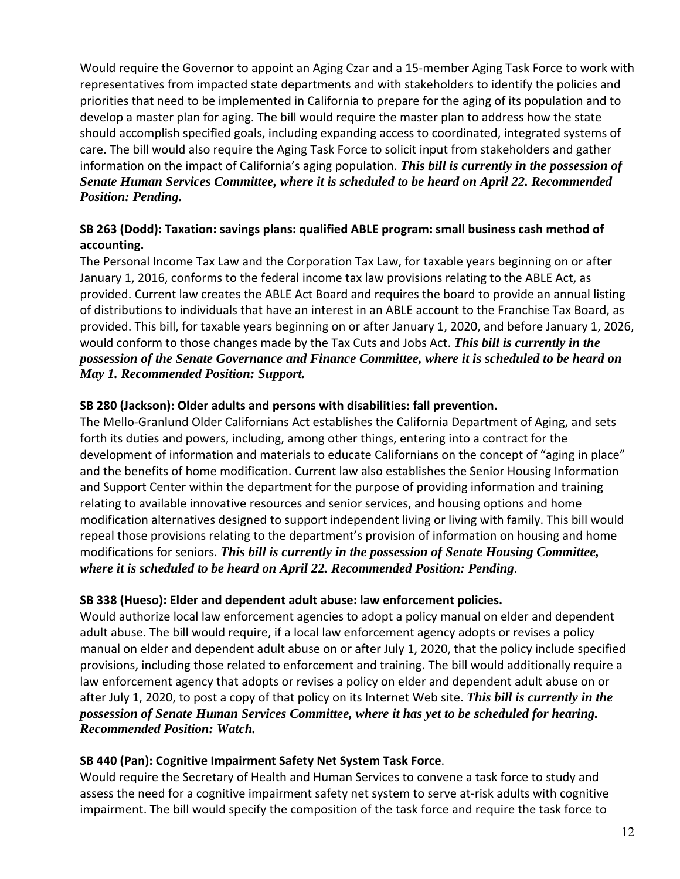Would require the Governor to appoint an Aging Czar and a 15‐member Aging Task Force to work with representatives from impacted state departments and with stakeholders to identify the policies and priorities that need to be implemented in California to prepare for the aging of its population and to develop a master plan for aging. The bill would require the master plan to address how the state should accomplish specified goals, including expanding access to coordinated, integrated systems of care. The bill would also require the Aging Task Force to solicit input from stakeholders and gather information on the impact of California's aging population. *This bill is currently in the possession of Senate Human Services Committee, where it is scheduled to be heard on April 22. Recommended Position: Pending.* 

## **SB 263 (Dodd): Taxation: savings plans: qualified ABLE program: small business cash method of accounting.**

The Personal Income Tax Law and the Corporation Tax Law, for taxable years beginning on or after January 1, 2016, conforms to the federal income tax law provisions relating to the ABLE Act, as provided. Current law creates the ABLE Act Board and requires the board to provide an annual listing of distributions to individuals that have an interest in an ABLE account to the Franchise Tax Board, as provided. This bill, for taxable years beginning on or after January 1, 2020, and before January 1, 2026, would conform to those changes made by the Tax Cuts and Jobs Act. *This bill is currently in the possession of the Senate Governance and Finance Committee, where it is scheduled to be heard on May 1. Recommended Position: Support.*

## **SB 280 (Jackson): Older adults and persons with disabilities: fall prevention.**

The Mello‐Granlund Older Californians Act establishes the California Department of Aging, and sets forth its duties and powers, including, among other things, entering into a contract for the development of information and materials to educate Californians on the concept of "aging in place" and the benefits of home modification. Current law also establishes the Senior Housing Information and Support Center within the department for the purpose of providing information and training relating to available innovative resources and senior services, and housing options and home modification alternatives designed to support independent living or living with family. This bill would repeal those provisions relating to the department's provision of information on housing and home modifications for seniors. *This bill is currently in the possession of Senate Housing Committee, where it is scheduled to be heard on April 22. Recommended Position: Pending*.

### **SB 338 (Hueso): Elder and dependent adult abuse: law enforcement policies.**

Would authorize local law enforcement agencies to adopt a policy manual on elder and dependent adult abuse. The bill would require, if a local law enforcement agency adopts or revises a policy manual on elder and dependent adult abuse on or after July 1, 2020, that the policy include specified provisions, including those related to enforcement and training. The bill would additionally require a law enforcement agency that adopts or revises a policy on elder and dependent adult abuse on or after July 1, 2020, to post a copy of that policy on its Internet Web site. *This bill is currently in the possession of Senate Human Services Committee, where it has yet to be scheduled for hearing. Recommended Position: Watch.*

### **SB 440 (Pan): Cognitive Impairment Safety Net System Task Force**.

Would require the Secretary of Health and Human Services to convene a task force to study and assess the need for a cognitive impairment safety net system to serve at‐risk adults with cognitive impairment. The bill would specify the composition of the task force and require the task force to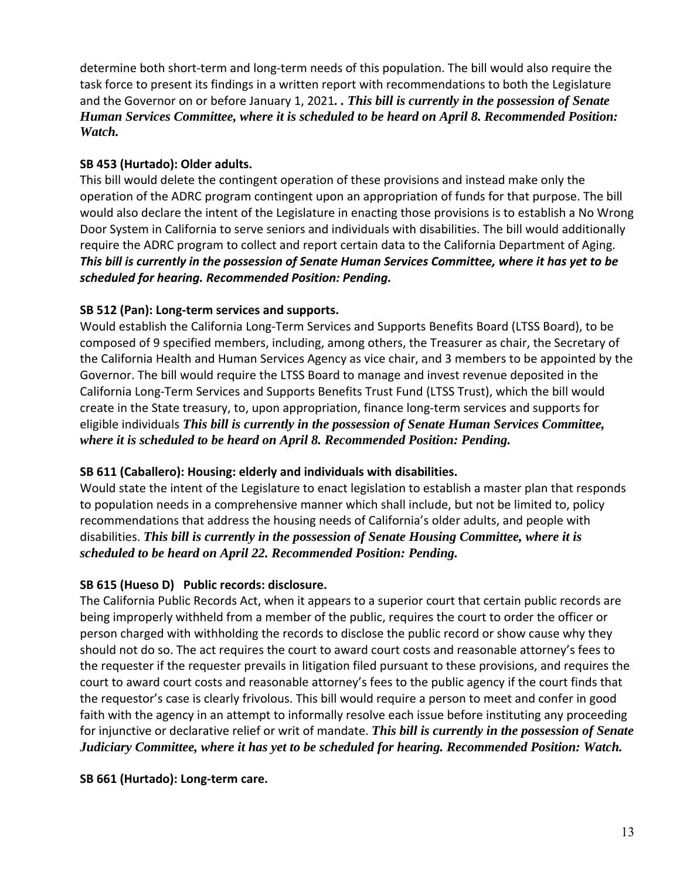determine both short-term and long-term needs of this population. The bill would also require the task force to present its findings in a written report with recommendations to both the Legislature and the Governor on or before January 1, 2021*. . This bill is currently in the possession of Senate Human Services Committee, where it is scheduled to be heard on April 8. Recommended Position: Watch.* 

## **SB 453 (Hurtado): Older adults.**

This bill would delete the contingent operation of these provisions and instead make only the operation of the ADRC program contingent upon an appropriation of funds for that purpose. The bill would also declare the intent of the Legislature in enacting those provisions is to establish a No Wrong Door System in California to serve seniors and individuals with disabilities. The bill would additionally require the ADRC program to collect and report certain data to the California Department of Aging. *This bill is currently in the possession of Senate Human Services Committee, where it has yet to be*  scheduled for hearing. Recommended Position: Pending.

## **SB 512 (Pan): Long‐term services and supports.**

Would establish the California Long‐Term Services and Supports Benefits Board (LTSS Board), to be composed of 9 specified members, including, among others, the Treasurer as chair, the Secretary of the California Health and Human Services Agency as vice chair, and 3 members to be appointed by the Governor. The bill would require the LTSS Board to manage and invest revenue deposited in the California Long‐Term Services and Supports Benefits Trust Fund (LTSS Trust), which the bill would create in the State treasury, to, upon appropriation, finance long‐term services and supports for eligible individuals *This bill is currently in the possession of Senate Human Services Committee, where it is scheduled to be heard on April 8. Recommended Position: Pending.*

## **SB 611 (Caballero): Housing: elderly and individuals with disabilities.**

Would state the intent of the Legislature to enact legislation to establish a master plan that responds to population needs in a comprehensive manner which shall include, but not be limited to, policy recommendations that address the housing needs of California's older adults, and people with disabilities. *This bill is currently in the possession of Senate Housing Committee, where it is scheduled to be heard on April 22. Recommended Position: Pending.* 

# **SB 615 (Hueso D) Public records: disclosure.**

The California Public Records Act, when it appears to a superior court that certain public records are being improperly withheld from a member of the public, requires the court to order the officer or person charged with withholding the records to disclose the public record or show cause why they should not do so. The act requires the court to award court costs and reasonable attorney's fees to the requester if the requester prevails in litigation filed pursuant to these provisions, and requires the court to award court costs and reasonable attorney's fees to the public agency if the court finds that the requestor's case is clearly frivolous. This bill would require a person to meet and confer in good faith with the agency in an attempt to informally resolve each issue before instituting any proceeding for injunctive or declarative relief or writ of mandate. *This bill is currently in the possession of Senate Judiciary Committee, where it has yet to be scheduled for hearing. Recommended Position: Watch.* 

## **SB 661 (Hurtado): Long‐term care.**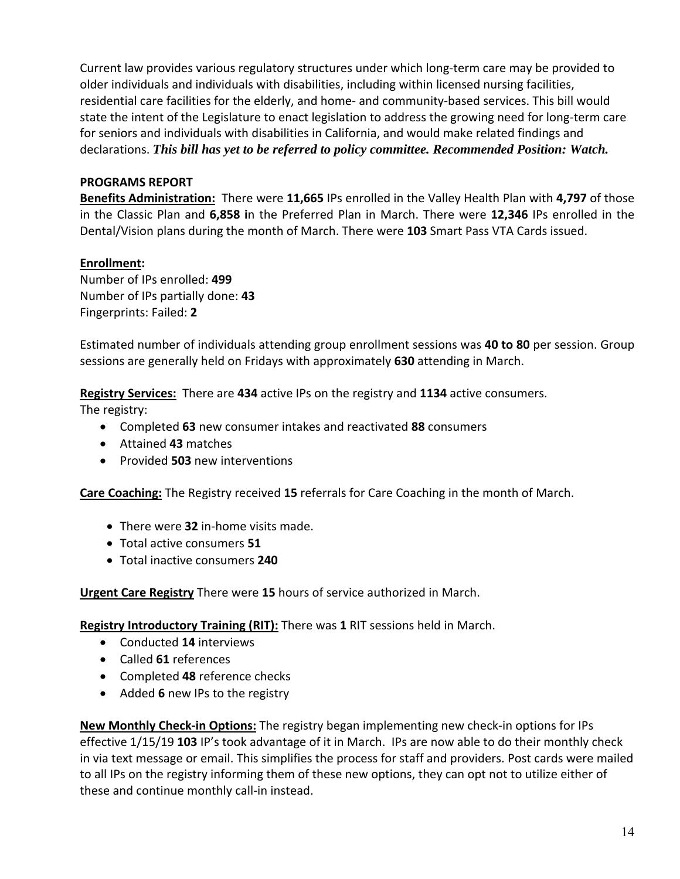Current law provides various regulatory structures under which long‐term care may be provided to older individuals and individuals with disabilities, including within licensed nursing facilities, residential care facilities for the elderly, and home‐ and community‐based services. This bill would state the intent of the Legislature to enact legislation to address the growing need for long‐term care for seniors and individuals with disabilities in California, and would make related findings and declarations. *This bill has yet to be referred to policy committee. Recommended Position: Watch.*

## **PROGRAMS REPORT**

**Benefits Administration:** There were **11,665** IPs enrolled in the Valley Health Plan with **4,797** of those in the Classic Plan and **6,858 i**n the Preferred Plan in March. There were **12,346** IPs enrolled in the Dental/Vision plans during the month of March. There were **103** Smart Pass VTA Cards issued.

### **Enrollment:**

Number of IPs enrolled: **499** Number of IPs partially done: **43** Fingerprints: Failed: **2**

Estimated number of individuals attending group enrollment sessions was **40 to 80** per session. Group sessions are generally held on Fridays with approximately **630** attending in March.

**Registry Services:** There are **434** active IPs on the registry and **1134** active consumers.

The registry:

- Completed **63** new consumer intakes and reactivated **88** consumers
- Attained **43** matches
- Provided **503** new interventions

**Care Coaching:** The Registry received **15** referrals for Care Coaching in the month of March.

- There were **32** in‐home visits made.
- Total active consumers **51**
- Total inactive consumers **240**

**Urgent Care Registry** There were **15** hours of service authorized in March.

**Registry Introductory Training (RIT):** There was **1** RIT sessions held in March.

- Conducted **14** interviews
- Called **61** references
- Completed **48** reference checks
- Added **6** new IPs to the registry

**New Monthly Check‐in Options:** The registry began implementing new check‐in options for IPs effective 1/15/19 **103** IP's took advantage of it in March. IPs are now able to do their monthly check in via text message or email. This simplifies the process for staff and providers. Post cards were mailed to all IPs on the registry informing them of these new options, they can opt not to utilize either of these and continue monthly call‐in instead.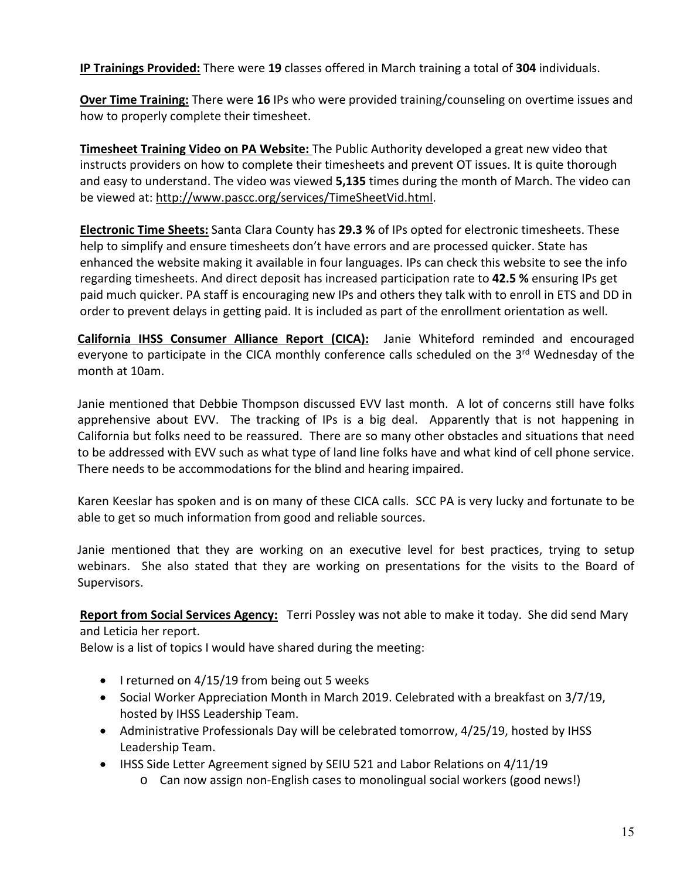**IP Trainings Provided:** There were **19** classes offered in March training a total of **304** individuals.

**Over Time Training:** There were **16** IPs who were provided training/counseling on overtime issues and how to properly complete their timesheet.

**Timesheet Training Video on PA Website:** The Public Authority developed a great new video that instructs providers on how to complete their timesheets and prevent OT issues. It is quite thorough and easy to understand. The video was viewed **5,135** times during the month of March. The video can be viewed at: http://www.pascc.org/services/TimeSheetVid.html.

**Electronic Time Sheets:** Santa Clara County has **29.3 %** of IPs opted for electronic timesheets. These help to simplify and ensure timesheets don't have errors and are processed quicker. State has enhanced the website making it available in four languages. IPs can check this website to see the info regarding timesheets. And direct deposit has increased participation rate to **42.5 %** ensuring IPs get paid much quicker. PA staff is encouraging new IPs and others they talk with to enroll in ETS and DD in order to prevent delays in getting paid. It is included as part of the enrollment orientation as well.

California IHSS Consumer Alliance Report (CICA): Janie Whiteford reminded and encouraged everyone to participate in the CICA monthly conference calls scheduled on the 3<sup>rd</sup> Wednesday of the month at 10am.

Janie mentioned that Debbie Thompson discussed EVV last month. A lot of concerns still have folks apprehensive about EVV. The tracking of IPs is a big deal. Apparently that is not happening in California but folks need to be reassured. There are so many other obstacles and situations that need to be addressed with EVV such as what type of land line folks have and what kind of cell phone service. There needs to be accommodations for the blind and hearing impaired.

Karen Keeslar has spoken and is on many of these CICA calls. SCC PA is very lucky and fortunate to be able to get so much information from good and reliable sources.

Janie mentioned that they are working on an executive level for best practices, trying to setup webinars. She also stated that they are working on presentations for the visits to the Board of Supervisors.

**Report from Social Services Agency:** Terri Possley was not able to make it today. She did send Mary and Leticia her report.

Below is a list of topics I would have shared during the meeting:

- $\bullet$  I returned on 4/15/19 from being out 5 weeks
- Social Worker Appreciation Month in March 2019. Celebrated with a breakfast on 3/7/19, hosted by IHSS Leadership Team.
- Administrative Professionals Day will be celebrated tomorrow, 4/25/19, hosted by IHSS Leadership Team.
- IHSS Side Letter Agreement signed by SEIU 521 and Labor Relations on 4/11/19
	- o Can now assign non‐English cases to monolingual social workers (good news!)